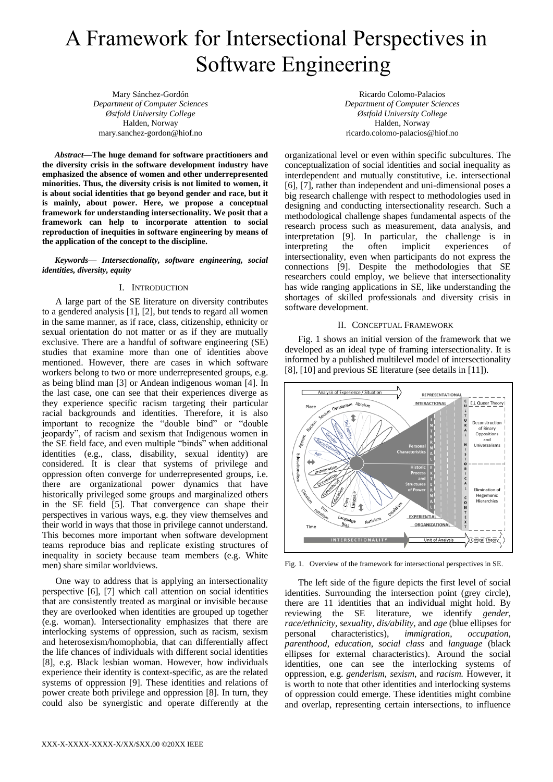# A Framework for Intersectional Perspectives in Software Engineering

Mary Sánchez-Gordón *Department of Computer Sciences Østfold University College* Halden, Norway mary.sanchez-gordon@hiof.no

*Abstract***—The huge demand for software practitioners and the diversity crisis in the software development industry have emphasized the absence of women and other underrepresented minorities. Thus, the diversity crisis is not limited to women, it is about social identities that go beyond gender and race, but it is mainly, about power. Here, we propose a conceptual framework for understanding intersectionality. We posit that a framework can help to incorporate attention to social reproduction of inequities in software engineering by means of the application of the concept to the discipline.**

*Keywords— Intersectionality, software engineering, social identities, diversity, equity*

## I. INTRODUCTION

A large part of the SE literature on diversity contributes to a gendered analysis [1], [2], but tends to regard all women in the same manner, as if race, class, citizenship, ethnicity or sexual orientation do not matter or as if they are mutually exclusive. There are a handful of software engineering (SE) studies that examine more than one of identities above mentioned. However, there are cases in which software workers belong to two or more underrepresented groups, e.g. as being blind man [3] or Andean indigenous woman [4]. In the last case, one can see that their experiences diverge as they experience specific racism targeting their particular racial backgrounds and identities. Therefore, it is also important to recognize the "double bind" or "double jeopardy", of racism and sexism that Indigenous women in the SE field face, and even multiple "binds" when additional identities (e.g., class, disability, sexual identity) are considered. It is clear that systems of privilege and oppression often converge for underrepresented groups, i.e. there are organizational power dynamics that have historically privileged some groups and marginalized others in the SE field [5]. That convergence can shape their perspectives in various ways, e.g. they view themselves and their world in ways that those in privilege cannot understand. This becomes more important when software development teams reproduce bias and replicate existing structures of inequality in society because team members (e.g. White men) share similar worldviews.

One way to address that is applying an intersectionality perspective [6], [7] which call attention on social identities that are consistently treated as marginal or invisible because they are overlooked when identities are grouped up together (e.g. woman). Intersectionality emphasizes that there are interlocking systems of oppression, such as racism, sexism and heterosexism/homophobia, that can differentially affect the life chances of individuals with different social identities [8], e.g. Black lesbian woman. However, how individuals experience their identity is context-specific, as are the related systems of oppression [9]. These identities and relations of power create both privilege and oppression [8]. In turn, they could also be synergistic and operate differently at the

Ricardo Colomo-Palacios *Department of Computer Sciences Østfold University College* Halden, Norway ricardo.colomo-palacios@hiof.no

organizational level or even within specific subcultures. The conceptualization of social identities and social inequality as interdependent and mutually constitutive, i.e. intersectional [6], [7], rather than independent and uni-dimensional poses a big research challenge with respect to methodologies used in designing and conducting intersectionality research. Such a methodological challenge shapes fundamental aspects of the research process such as measurement, data analysis, and interpretation [9]. In particular, the challenge is in interpreting the often implicit experiences of intersectionality, even when participants do not express the connections [9]. Despite the methodologies that SE researchers could employ, we believe that intersectionality has wide ranging applications in SE, like understanding the shortages of skilled professionals and diversity crisis in software development.

## II. CONCEPTUAL FRAMEWORK

Fig. 1 shows an initial version of the framework that we developed as an ideal type of framing intersectionality. It is informed by a published multilevel model of intersectionality [8], [10] and previous SE literature (see details in [11]).



Fig. 1. Overview of the framework for intersectional perspectives in SE.

The left side of the figure depicts the first level of social identities. Surrounding the intersection point (grey circle), there are 11 identities that an individual might hold. By reviewing the SE literature, we identify *gender*, *race/ethnicity*, *sexuality, dis/ability,* and *age* (blue ellipses for personal characteristics), *immigration*, *occupation*, *parenthood*, *education*, *social class* and *language* (black ellipses for external characteristics). Around the social identities, one can see the interlocking systems of oppression, e.g. *genderism*, *sexism*, and *racism.* However, it is worth to note that other identities and interlocking systems of oppression could emerge. These identities might combine and overlap, representing certain intersections, to influence